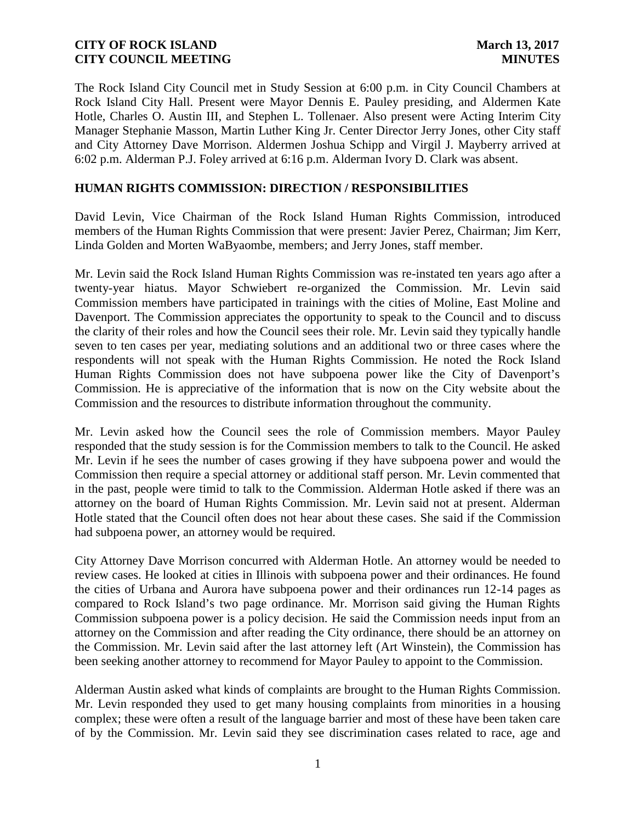The Rock Island City Council met in Study Session at 6:00 p.m. in City Council Chambers at Rock Island City Hall. Present were Mayor Dennis E. Pauley presiding, and Aldermen Kate Hotle, Charles O. Austin III, and Stephen L. Tollenaer. Also present were Acting Interim City Manager Stephanie Masson, Martin Luther King Jr. Center Director Jerry Jones, other City staff and City Attorney Dave Morrison. Aldermen Joshua Schipp and Virgil J. Mayberry arrived at 6:02 p.m. Alderman P.J. Foley arrived at 6:16 p.m. Alderman Ivory D. Clark was absent.

# **HUMAN RIGHTS COMMISSION: DIRECTION / RESPONSIBILITIES**

David Levin, Vice Chairman of the Rock Island Human Rights Commission, introduced members of the Human Rights Commission that were present: Javier Perez, Chairman; Jim Kerr, Linda Golden and Morten WaByaombe, members; and Jerry Jones, staff member.

Mr. Levin said the Rock Island Human Rights Commission was re-instated ten years ago after a twenty-year hiatus. Mayor Schwiebert re-organized the Commission. Mr. Levin said Commission members have participated in trainings with the cities of Moline, East Moline and Davenport. The Commission appreciates the opportunity to speak to the Council and to discuss the clarity of their roles and how the Council sees their role. Mr. Levin said they typically handle seven to ten cases per year, mediating solutions and an additional two or three cases where the respondents will not speak with the Human Rights Commission. He noted the Rock Island Human Rights Commission does not have subpoena power like the City of Davenport's Commission. He is appreciative of the information that is now on the City website about the Commission and the resources to distribute information throughout the community.

Mr. Levin asked how the Council sees the role of Commission members. Mayor Pauley responded that the study session is for the Commission members to talk to the Council. He asked Mr. Levin if he sees the number of cases growing if they have subpoena power and would the Commission then require a special attorney or additional staff person. Mr. Levin commented that in the past, people were timid to talk to the Commission. Alderman Hotle asked if there was an attorney on the board of Human Rights Commission. Mr. Levin said not at present. Alderman Hotle stated that the Council often does not hear about these cases. She said if the Commission had subpoena power, an attorney would be required.

City Attorney Dave Morrison concurred with Alderman Hotle. An attorney would be needed to review cases. He looked at cities in Illinois with subpoena power and their ordinances. He found the cities of Urbana and Aurora have subpoena power and their ordinances run 12-14 pages as compared to Rock Island's two page ordinance. Mr. Morrison said giving the Human Rights Commission subpoena power is a policy decision. He said the Commission needs input from an attorney on the Commission and after reading the City ordinance, there should be an attorney on the Commission. Mr. Levin said after the last attorney left (Art Winstein), the Commission has been seeking another attorney to recommend for Mayor Pauley to appoint to the Commission.

Alderman Austin asked what kinds of complaints are brought to the Human Rights Commission. Mr. Levin responded they used to get many housing complaints from minorities in a housing complex; these were often a result of the language barrier and most of these have been taken care of by the Commission. Mr. Levin said they see discrimination cases related to race, age and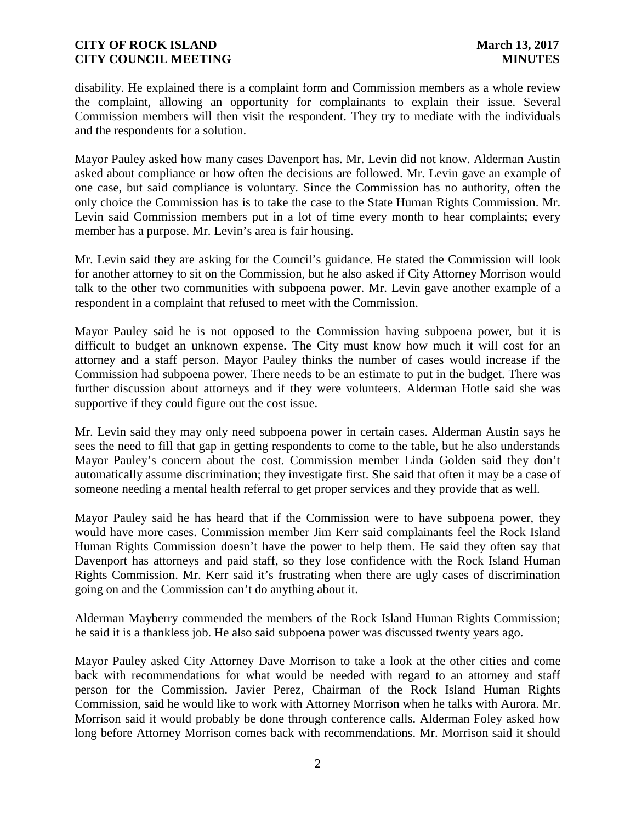disability. He explained there is a complaint form and Commission members as a whole review the complaint, allowing an opportunity for complainants to explain their issue. Several Commission members will then visit the respondent. They try to mediate with the individuals and the respondents for a solution.

Mayor Pauley asked how many cases Davenport has. Mr. Levin did not know. Alderman Austin asked about compliance or how often the decisions are followed. Mr. Levin gave an example of one case, but said compliance is voluntary. Since the Commission has no authority, often the only choice the Commission has is to take the case to the State Human Rights Commission. Mr. Levin said Commission members put in a lot of time every month to hear complaints; every member has a purpose. Mr. Levin's area is fair housing.

Mr. Levin said they are asking for the Council's guidance. He stated the Commission will look for another attorney to sit on the Commission, but he also asked if City Attorney Morrison would talk to the other two communities with subpoena power. Mr. Levin gave another example of a respondent in a complaint that refused to meet with the Commission.

Mayor Pauley said he is not opposed to the Commission having subpoena power, but it is difficult to budget an unknown expense. The City must know how much it will cost for an attorney and a staff person. Mayor Pauley thinks the number of cases would increase if the Commission had subpoena power. There needs to be an estimate to put in the budget. There was further discussion about attorneys and if they were volunteers. Alderman Hotle said she was supportive if they could figure out the cost issue.

Mr. Levin said they may only need subpoena power in certain cases. Alderman Austin says he sees the need to fill that gap in getting respondents to come to the table, but he also understands Mayor Pauley's concern about the cost. Commission member Linda Golden said they don't automatically assume discrimination; they investigate first. She said that often it may be a case of someone needing a mental health referral to get proper services and they provide that as well.

Mayor Pauley said he has heard that if the Commission were to have subpoena power, they would have more cases. Commission member Jim Kerr said complainants feel the Rock Island Human Rights Commission doesn't have the power to help them. He said they often say that Davenport has attorneys and paid staff, so they lose confidence with the Rock Island Human Rights Commission. Mr. Kerr said it's frustrating when there are ugly cases of discrimination going on and the Commission can't do anything about it.

Alderman Mayberry commended the members of the Rock Island Human Rights Commission; he said it is a thankless job. He also said subpoena power was discussed twenty years ago.

Mayor Pauley asked City Attorney Dave Morrison to take a look at the other cities and come back with recommendations for what would be needed with regard to an attorney and staff person for the Commission. Javier Perez, Chairman of the Rock Island Human Rights Commission, said he would like to work with Attorney Morrison when he talks with Aurora. Mr. Morrison said it would probably be done through conference calls. Alderman Foley asked how long before Attorney Morrison comes back with recommendations. Mr. Morrison said it should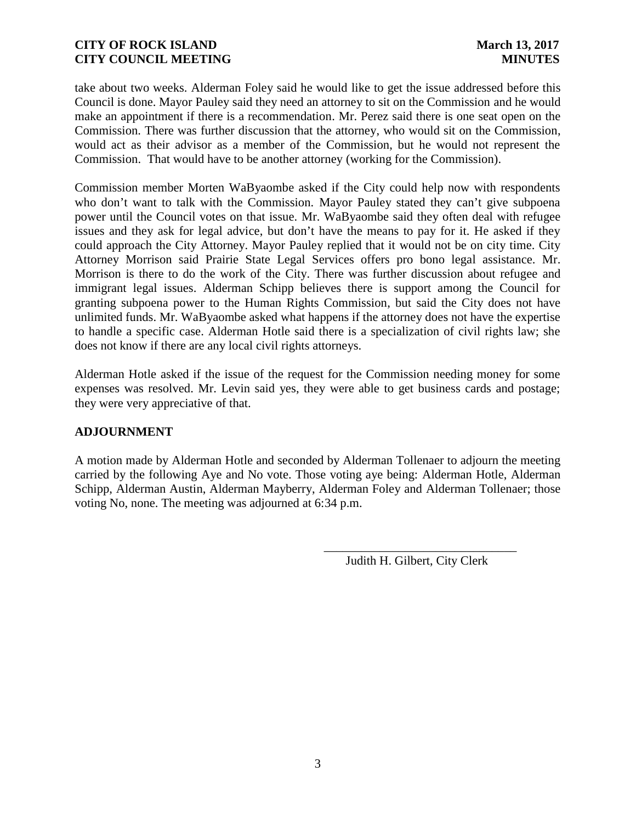take about two weeks. Alderman Foley said he would like to get the issue addressed before this Council is done. Mayor Pauley said they need an attorney to sit on the Commission and he would make an appointment if there is a recommendation. Mr. Perez said there is one seat open on the Commission. There was further discussion that the attorney, who would sit on the Commission, would act as their advisor as a member of the Commission, but he would not represent the Commission. That would have to be another attorney (working for the Commission).

Commission member Morten WaByaombe asked if the City could help now with respondents who don't want to talk with the Commission. Mayor Pauley stated they can't give subpoena power until the Council votes on that issue. Mr. WaByaombe said they often deal with refugee issues and they ask for legal advice, but don't have the means to pay for it. He asked if they could approach the City Attorney. Mayor Pauley replied that it would not be on city time. City Attorney Morrison said Prairie State Legal Services offers pro bono legal assistance. Mr. Morrison is there to do the work of the City. There was further discussion about refugee and immigrant legal issues. Alderman Schipp believes there is support among the Council for granting subpoena power to the Human Rights Commission, but said the City does not have unlimited funds. Mr. WaByaombe asked what happens if the attorney does not have the expertise to handle a specific case. Alderman Hotle said there is a specialization of civil rights law; she does not know if there are any local civil rights attorneys.

Alderman Hotle asked if the issue of the request for the Commission needing money for some expenses was resolved. Mr. Levin said yes, they were able to get business cards and postage; they were very appreciative of that.

# **ADJOURNMENT**

A motion made by Alderman Hotle and seconded by Alderman Tollenaer to adjourn the meeting carried by the following Aye and No vote. Those voting aye being: Alderman Hotle, Alderman Schipp, Alderman Austin, Alderman Mayberry, Alderman Foley and Alderman Tollenaer; those voting No, none. The meeting was adjourned at 6:34 p.m.

Judith H. Gilbert, City Clerk

\_\_\_\_\_\_\_\_\_\_\_\_\_\_\_\_\_\_\_\_\_\_\_\_\_\_\_\_\_\_\_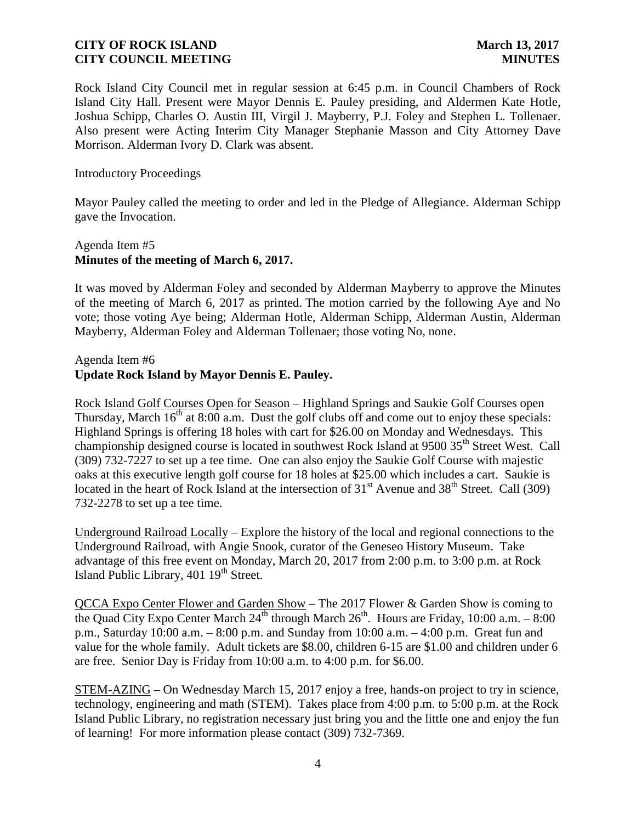Rock Island City Council met in regular session at 6:45 p.m. in Council Chambers of Rock Island City Hall. Present were Mayor Dennis E. Pauley presiding, and Aldermen Kate Hotle, Joshua Schipp, Charles O. Austin III, Virgil J. Mayberry, P.J. Foley and Stephen L. Tollenaer. Also present were Acting Interim City Manager Stephanie Masson and City Attorney Dave Morrison. Alderman Ivory D. Clark was absent.

#### Introductory Proceedings

Mayor Pauley called the meeting to order and led in the Pledge of Allegiance. Alderman Schipp gave the Invocation.

# Agenda Item #5 **Minutes of the meeting of March 6, 2017.**

It was moved by Alderman Foley and seconded by Alderman Mayberry to approve the Minutes of the meeting of March 6, 2017 as printed. The motion carried by the following Aye and No vote; those voting Aye being; Alderman Hotle, Alderman Schipp, Alderman Austin, Alderman Mayberry, Alderman Foley and Alderman Tollenaer; those voting No, none.

### Agenda Item #6 **Update Rock Island by Mayor Dennis E. Pauley.**

Rock Island Golf Courses Open for Season – Highland Springs and Saukie Golf Courses open Thursday, March  $16<sup>th</sup>$  at 8:00 a.m. Dust the golf clubs off and come out to enjoy these specials: Highland Springs is offering 18 holes with cart for \$26.00 on Monday and Wednesdays. This championship designed course is located in southwest Rock Island at 9500 35<sup>th</sup> Street West. Call (309) 732-7227 to set up a tee time. One can also enjoy the Saukie Golf Course with majestic oaks at this executive length golf course for 18 holes at \$25.00 which includes a cart. Saukie is located in the heart of Rock Island at the intersection of  $31<sup>st</sup>$  Avenue and  $38<sup>th</sup>$  Street. Call (309) 732-2278 to set up a tee time.

Underground Railroad Locally – Explore the history of the local and regional connections to the Underground Railroad, with Angie Snook, curator of the Geneseo History Museum. Take advantage of this free event on Monday, March 20, 2017 from 2:00 p.m. to 3:00 p.m. at Rock Island Public Library,  $401 \, 19^{th}$  Street.

QCCA Expo Center Flower and Garden Show – The 2017 Flower & Garden Show is coming to the Quad City Expo Center March 24<sup>th</sup> through March 26<sup>th</sup>. Hours are Friday, 10:00 a.m.  $-8:00$ p.m., Saturday 10:00 a.m. – 8:00 p.m. and Sunday from 10:00 a.m. – 4:00 p.m. Great fun and value for the whole family. Adult tickets are \$8.00, children 6-15 are \$1.00 and children under 6 are free. Senior Day is Friday from 10:00 a.m. to 4:00 p.m. for \$6.00.

STEM-AZING – On Wednesday March 15, 2017 enjoy a free, hands-on project to try in science, technology, engineering and math (STEM). Takes place from 4:00 p.m. to 5:00 p.m. at the Rock Island Public Library, no registration necessary just bring you and the little one and enjoy the fun of learning! For more information please contact (309) 732-7369.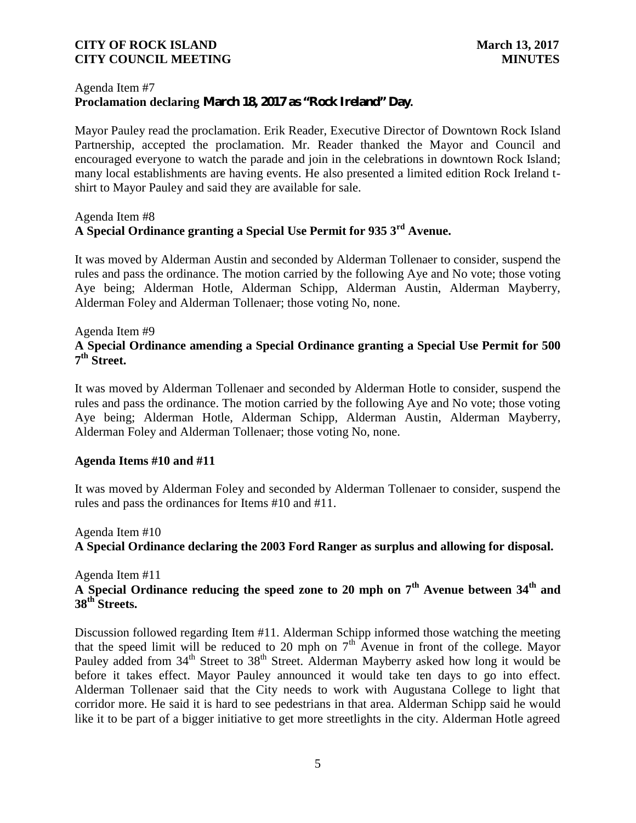### Agenda Item #7 **Proclamation declaring March 18, 2017 as "Rock Ireland" Day.**

Mayor Pauley read the proclamation. Erik Reader, Executive Director of Downtown Rock Island Partnership, accepted the proclamation. Mr. Reader thanked the Mayor and Council and encouraged everyone to watch the parade and join in the celebrations in downtown Rock Island; many local establishments are having events. He also presented a limited edition Rock Ireland t shirt to Mayor Pauley and said they are available for sale.

# Agenda Item #8 **A Special Ordinance granting a Special Use Permit for 935 3rd Avenue.**

It was moved by Alderman Austin and seconded by Alderman Tollenaer to consider, suspend the rules and pass the ordinance. The motion carried by the following Aye and No vote; those voting Aye being; Alderman Hotle, Alderman Schipp, Alderman Austin, Alderman Mayberry, Alderman Foley and Alderman Tollenaer; those voting No, none.

# Agenda Item #9 **A Special Ordinance amending a Special Ordinance granting a Special Use Permit for 500 7 th Street.**

It was moved by Alderman Tollenaer and seconded by Alderman Hotle to consider, suspend the rules and pass the ordinance. The motion carried by the following Aye and No vote; those voting Aye being; Alderman Hotle, Alderman Schipp, Alderman Austin, Alderman Mayberry, Alderman Foley and Alderman Tollenaer; those voting No, none.

### **Agenda Items #10 and #11**

It was moved by Alderman Foley and seconded by Alderman Tollenaer to consider, suspend the rules and pass the ordinances for Items #10 and #11.

### Agenda Item #10

**A Special Ordinance declaring the 2003 Ford Ranger as surplus and allowing for disposal.**

### Agenda Item #11 **A Special Ordinance reducing the speed zone to 20 mph on 7th Avenue between 34th and 38th Streets.**

Discussion followed regarding Item #11. Alderman Schipp informed those watching the meeting that the speed limit will be reduced to 20 mph on  $7<sup>th</sup>$  Avenue in front of the college. Mayor Pauley added from  $34<sup>th</sup>$  Street to  $38<sup>th</sup>$  Street. Alderman Mayberry asked how long it would be before it takes effect. Mayor Pauley announced it would take ten days to go into effect. Alderman Tollenaer said that the City needs to work with Augustana College to light that corridor more. He said it is hard to see pedestrians in that area. Alderman Schipp said he would like it to be part of a bigger initiative to get more streetlights in the city. Alderman Hotle agreed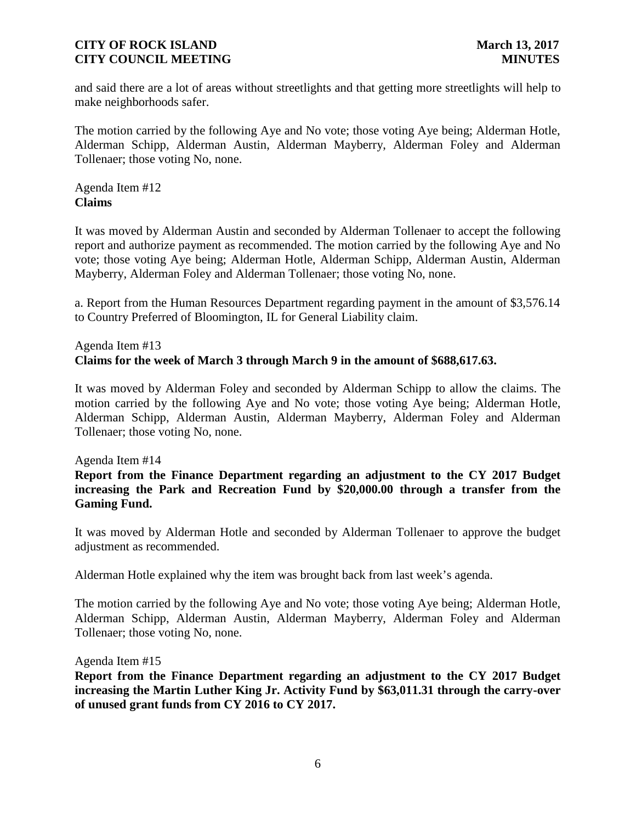and said there are a lot of areas without streetlights and that getting more streetlights will help to make neighborhoods safer.

The motion carried by the following Aye and No vote; those voting Aye being; Alderman Hotle, Alderman Schipp, Alderman Austin, Alderman Mayberry, Alderman Foley and Alderman Tollenaer; those voting No, none.

Agenda Item #12 **Claims**

It was moved by Alderman Austin and seconded by Alderman Tollenaer to accept the following report and authorize payment as recommended. The motion carried by the following Aye and No vote; those voting Aye being; Alderman Hotle, Alderman Schipp, Alderman Austin, Alderman Mayberry, Alderman Foley and Alderman Tollenaer; those voting No, none.

a. Report from the Human Resources Department regarding payment in the amount of \$3,576.14 to Country Preferred of Bloomington, IL for General Liability claim.

# Agenda Item #13 **Claims for the week of March 3 through March 9 in the amount of \$688,617.63.**

It was moved by Alderman Foley and seconded by Alderman Schipp to allow the claims. The motion carried by the following Aye and No vote; those voting Aye being; Alderman Hotle, Alderman Schipp, Alderman Austin, Alderman Mayberry, Alderman Foley and Alderman Tollenaer; those voting No, none.

Agenda Item #14

# **Report from the Finance Department regarding an adjustment to the CY 2017 Budget increasing the Park and Recreation Fund by \$20,000.00 through a transfer from the Gaming Fund.**

It was moved by Alderman Hotle and seconded by Alderman Tollenaer to approve the budget adjustment as recommended.

Alderman Hotle explained why the item was brought back from last week's agenda.

The motion carried by the following Aye and No vote; those voting Aye being; Alderman Hotle, Alderman Schipp, Alderman Austin, Alderman Mayberry, Alderman Foley and Alderman Tollenaer; those voting No, none.

Agenda Item #15

**Report from the Finance Department regarding an adjustment to the CY 2017 Budget increasing the Martin Luther King Jr. Activity Fund by \$63,011.31 through the carry-over of unused grant funds from CY 2016 to CY 2017.**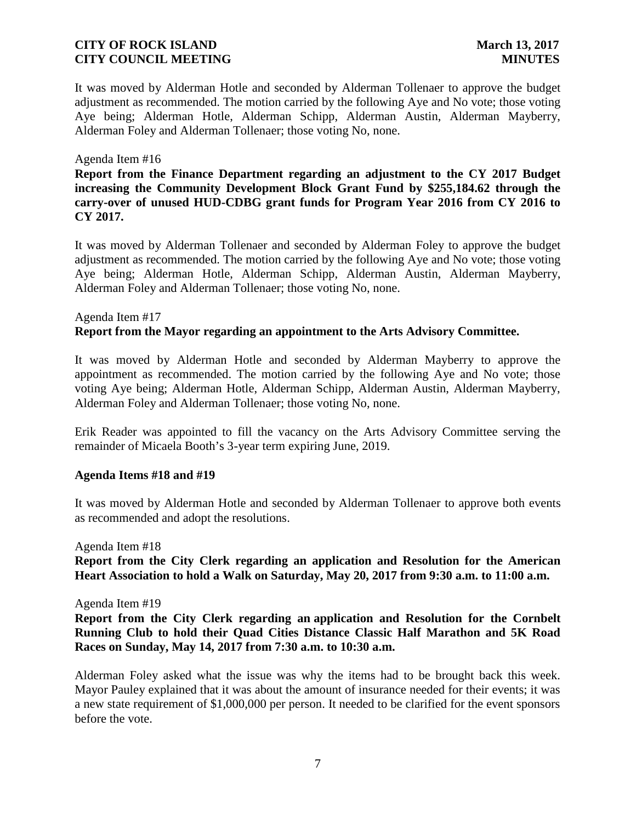It was moved by Alderman Hotle and seconded by Alderman Tollenaer to approve the budget adjustment as recommended. The motion carried by the following Aye and No vote; those voting Aye being; Alderman Hotle, Alderman Schipp, Alderman Austin, Alderman Mayberry, Alderman Foley and Alderman Tollenaer; those voting No, none.

#### Agenda Item #16

**Report from the Finance Department regarding an adjustment to the CY 2017 Budget increasing the Community Development Block Grant Fund by \$255,184.62 through the carry-over of unused HUD-CDBG grant funds for Program Year 2016 from CY 2016 to CY 2017.**

It was moved by Alderman Tollenaer and seconded by Alderman Foley to approve the budget adjustment as recommended. The motion carried by the following Aye and No vote; those voting Aye being; Alderman Hotle, Alderman Schipp, Alderman Austin, Alderman Mayberry, Alderman Foley and Alderman Tollenaer; those voting No, none.

# Agenda Item #17 **Report from the Mayor regarding an appointment to the Arts Advisory Committee.**

It was moved by Alderman Hotle and seconded by Alderman Mayberry to approve the appointment as recommended. The motion carried by the following Aye and No vote; those voting Aye being; Alderman Hotle, Alderman Schipp, Alderman Austin, Alderman Mayberry, Alderman Foley and Alderman Tollenaer; those voting No, none.

Erik Reader was appointed to fill the vacancy on the Arts Advisory Committee serving the remainder of Micaela Booth's 3-year term expiring June, 2019.

#### **Agenda Items #18 and #19**

It was moved by Alderman Hotle and seconded by Alderman Tollenaer to approve both events as recommended and adopt the resolutions.

Agenda Item #18

**Report from the City Clerk regarding an application and Resolution for the American Heart Association to hold a Walk on Saturday, May 20, 2017 from 9:30 a.m. to 11:00 a.m.**

Agenda Item #19

**Report from the City Clerk regarding an application and Resolution for the Cornbelt Running Club to hold their Quad Cities Distance Classic Half Marathon and 5K Road Races on Sunday, May 14, 2017 from 7:30 a.m. to 10:30 a.m.**

Alderman Foley asked what the issue was why the items had to be brought back this week. Mayor Pauley explained that it was about the amount of insurance needed for their events; it was a new state requirement of \$1,000,000 per person. It needed to be clarified for the event sponsors before the vote.